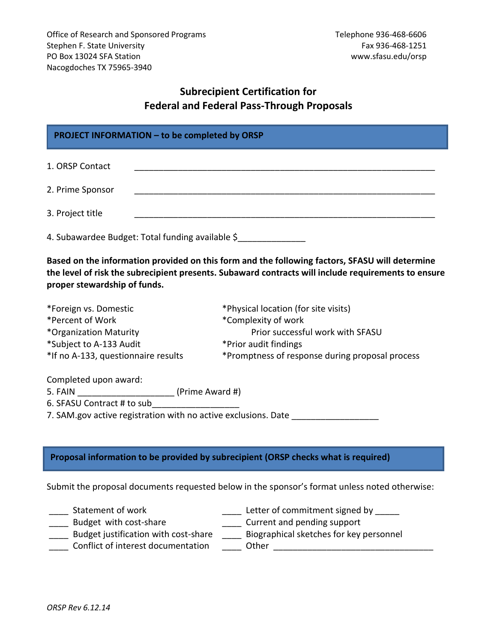# **Subrecipient Certification for Federal and Federal Pass-Through Proposals**

# **PROJECT INFORMATION – to be completed by ORSP**

1. ORSP Contact **and the set of the set of the set of the set of the set of the set of the set of the set of the set of the set of the set of the set of the set of the set of the set of the set of the set of the set of the** 

2. Prime Sponsor \_\_\_\_\_\_\_\_\_\_\_\_\_\_\_\_\_\_\_\_\_\_\_\_\_\_\_\_\_\_\_\_\_\_\_\_\_\_\_\_\_\_\_\_\_\_\_\_\_\_\_\_\_\_\_\_\_\_\_\_\_\_

3. Project title

4. Subawardee Budget: Total funding available \$

**Based on the information provided on this form and the following factors, SFASU will determine the level of risk the subrecipient presents. Subaward contracts will include requirements to ensure proper stewardship of funds.**

| *Foreign vs. Domestic               | *Physical location (for site visits)            |
|-------------------------------------|-------------------------------------------------|
| *Percent of Work                    | *Complexity of work                             |
| *Organization Maturity              | Prior successful work with SFASU                |
| *Subject to A-133 Audit             | *Prior audit findings                           |
| *If no A-133, questionnaire results | *Promptness of response during proposal process |

Completed upon award:

5. FAIN  $(Prime Award #)$ 

6. SFASU Contract # to sub\_\_\_\_\_\_\_\_\_\_\_\_\_\_\_\_\_\_

7. SAM.gov active registration with no active exclusions. Date

# **Proposal information to be provided by subrecipient (ORSP checks what is required)**

Submit the proposal documents requested below in the sponsor's format unless noted otherwise:

- 
- \_\_\_\_ Statement of work \_\_\_\_\_ Letter of commitment signed by \_\_\_\_\_
- 
- 
- Letter of commitment signed and pending support<br>
Budget instification with cost charge and current and pending support \_\_\_ Budget justification with cost-share \_\_\_\_ Biographical sketches for key personnel
	-
- Conflict of interest documentation \_\_\_\_\_\_\_ Other \_\_\_\_\_\_\_\_\_\_\_\_\_\_\_\_\_\_\_\_\_\_\_\_\_\_\_\_\_\_\_
-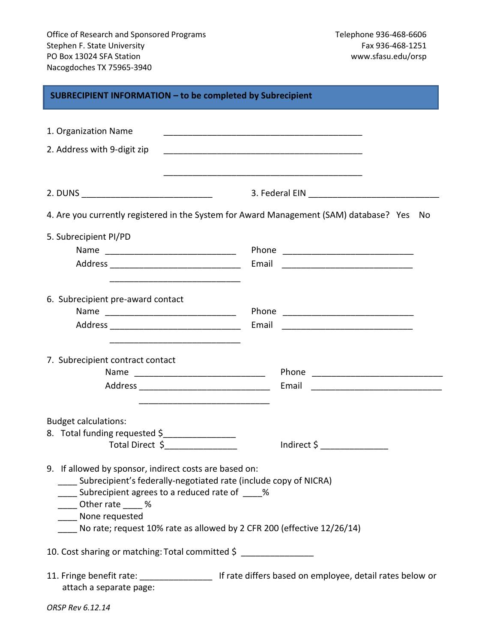| SUBRECIPIENT INFORMATION - to be completed by Subrecipient                                                                                                                                                                                                                                                                                                                                                                                                                                                                               |                                                                                                |  |  |
|------------------------------------------------------------------------------------------------------------------------------------------------------------------------------------------------------------------------------------------------------------------------------------------------------------------------------------------------------------------------------------------------------------------------------------------------------------------------------------------------------------------------------------------|------------------------------------------------------------------------------------------------|--|--|
| 1. Organization Name<br>2. Address with 9-digit zip                                                                                                                                                                                                                                                                                                                                                                                                                                                                                      |                                                                                                |  |  |
|                                                                                                                                                                                                                                                                                                                                                                                                                                                                                                                                          |                                                                                                |  |  |
|                                                                                                                                                                                                                                                                                                                                                                                                                                                                                                                                          | 4. Are you currently registered in the System for Award Management (SAM) database? Yes<br>. No |  |  |
| 5. Subrecipient PI/PD<br>Name                                                                                                                                                                                                                                                                                                                                                                                                                                                                                                            | Email <u>______________________</u>                                                            |  |  |
| 6. Subrecipient pre-award contact<br>Name                                                                                                                                                                                                                                                                                                                                                                                                                                                                                                | Email                                                                                          |  |  |
| 7. Subrecipient contract contact                                                                                                                                                                                                                                                                                                                                                                                                                                                                                                         | Email                                                                                          |  |  |
| <b>Budget calculations:</b><br>8. Total funding requested \$<br>$\begin{tabular}{ccccc} \multicolumn{2}{c }{\textbf{1} & \multicolumn{2}{c }{\textbf{2} & \multicolumn{2}{c }{\textbf{3} & \multicolumn{2}{c }{\textbf{4} & \multicolumn{2}{c }{\textbf{5} & \multicolumn{2}{c }{\textbf{6} & \multicolumn{2}{c }{\textbf{6} & \multicolumn{2}{c }{\textbf{6} & \multicolumn{2}{c }{\textbf{6} & \multicolumn{2}{c }{\textbf{6} & \multicolumn{2}{c }{\textbf{6} & \multicolumn{2}{c }{\textbf{6} & \multicolumn{2}{$<br>Total Direct \$ | Indirect \$                                                                                    |  |  |
| 9. If allowed by sponsor, indirect costs are based on:<br>____ Subrecipient's federally-negotiated rate (include copy of NICRA)<br>____ Subrecipient agrees to a reduced rate of ____%<br>Other rate ____ %<br>____ None requested<br>No rate; request 10% rate as allowed by 2 CFR 200 (effective 12/26/14)                                                                                                                                                                                                                             |                                                                                                |  |  |
| 10. Cost sharing or matching: Total committed \$                                                                                                                                                                                                                                                                                                                                                                                                                                                                                         |                                                                                                |  |  |
| 11. Fringe benefit rate: _______________________ If rate differs based on employee, detail rates below or<br>attach a separate page:<br>ORSP Rev 6.12.14                                                                                                                                                                                                                                                                                                                                                                                 |                                                                                                |  |  |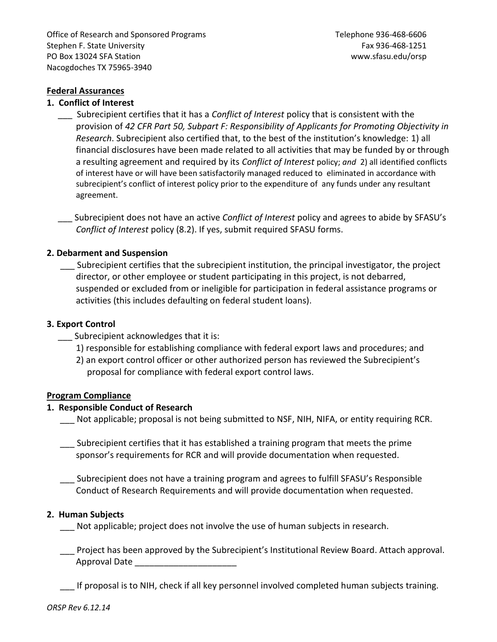Office of Research and Sponsored Programs Telephone 936-468-6606 Stephen F. State University Fax 936-468-1251 PO Box 13024 SFA Station www.sfasu.edu/orsp Nacogdoches TX 75965-3940

# **Federal Assurances**

## **1. Conflict of Interest**

 \_\_\_ Subrecipient certifies that it has a *Conflict of Interest* policy that is consistent with the provision of *42 CFR Part 50, Subpart F: Responsibility of Applicants for Promoting Objectivity in Research*. Subrecipient also certified that, to the best of the institution's knowledge: 1) all financial disclosures have been made related to all activities that may be funded by or through a resulting agreement and required by its *Conflict of Interest* policy; *and* 2) all identified conflicts of interest have or will have been satisfactorily managed reduced to eliminated in accordance with subrecipient's conflict of interest policy prior to the expenditure of any funds under any resultant agreement.

 \_\_\_ Subrecipient does not have an active *Conflict of Interest* policy and agrees to abide by SFASU's *Conflict of Interest* policy (8.2). If yes, submit required SFASU forms.

# **2. Debarment and Suspension**

\_\_\_ Subrecipient certifies that the subrecipient institution, the principal investigator, the project director, or other employee or student participating in this project, is not debarred, suspended or excluded from or ineligible for participation in federal assistance programs or activities (this includes defaulting on federal student loans).

# **3. Export Control**

- \_\_\_ Subrecipient acknowledges that it is:
	- 1) responsible for establishing compliance with federal export laws and procedures; and
	- 2) an export control officer or other authorized person has reviewed the Subrecipient's proposal for compliance with federal export control laws.

#### **Program Compliance**

# **1. Responsible Conduct of Research**

Not applicable; proposal is not being submitted to NSF, NIH, NIFA, or entity requiring RCR.

- \_\_\_ Subrecipient certifies that it has established a training program that meets the prime sponsor's requirements for RCR and will provide documentation when requested.
- \_\_\_ Subrecipient does not have a training program and agrees to fulfill SFASU's Responsible Conduct of Research Requirements and will provide documentation when requested.

# **2. Human Subjects**

\_\_\_ Not applicable; project does not involve the use of human subjects in research.

 \_\_\_ Project has been approved by the Subrecipient's Institutional Review Board. Attach approval. Approval Date \_\_\_\_\_\_\_\_\_\_\_\_\_\_\_\_\_\_\_\_\_

\_\_\_ If proposal is to NIH, check if all key personnel involved completed human subjects training.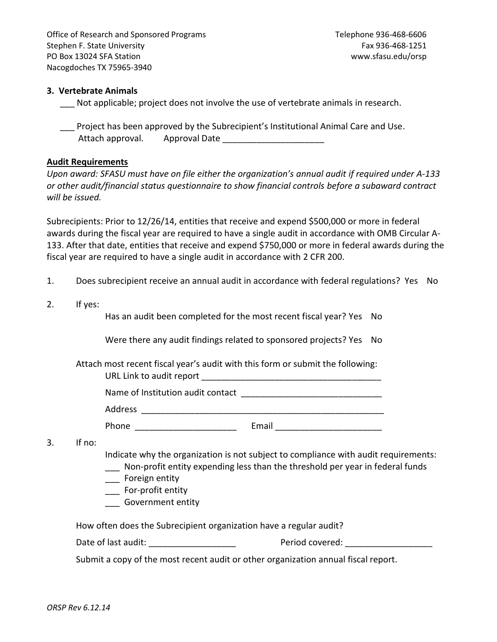Office of Research and Sponsored Programs Telephone 936-468-6606 Stephen F. State University Fax 936-468-1251 PO Box 13024 SFA Station www.sfasu.edu/orsp Nacogdoches TX 75965-3940

## **3. Vertebrate Animals**

Not applicable; project does not involve the use of vertebrate animals in research.

Project has been approved by the Subrecipient's Institutional Animal Care and Use. Attach approval. Approval Date

## **Audit Requirements**

*Upon award: SFASU must have on file either the organization's annual audit if required under A-133 or other audit/financial status questionnaire to show financial controls before a subaward contract will be issued.*

Subrecipients: Prior to 12/26/14, entities that receive and expend \$500,000 or more in federal awards during the fiscal year are required to have a single audit in accordance with OMB Circular A-133. After that date, entities that receive and expend \$750,000 or more in federal awards during the fiscal year are required to have a single audit in accordance with 2 CFR 200.

- 1. Does subrecipient receive an annual audit in accordance with federal regulations? Yes No
- 2. If yes:

Has an audit been completed for the most recent fiscal year? Yes No

Were there any audit findings related to sponsored projects? Yes No

Attach most recent fiscal year's audit with this form or submit the following:

URL Link to audit report \_\_\_\_\_\_\_\_\_\_\_\_\_\_\_\_\_\_\_\_\_\_\_\_\_\_\_\_\_\_\_\_\_\_\_\_\_

Name of Institution audit contact **Names** of Institution

Address  $\overline{\phantom{a}}$ 

Phone **Email Email**  $\blacksquare$ 

3. If no:

Indicate why the organization is not subject to compliance with audit requirements:

- \_\_\_ Non-profit entity expending less than the threshold per year in federal funds
- \_\_\_ Foreign entity
- \_\_\_ For-profit entity
- \_\_\_ Government entity

How often does the Subrecipient organization have a regular audit?

| Date of last audit: | Period covered: |  |
|---------------------|-----------------|--|
|                     |                 |  |

Submit a copy of the most recent audit or other organization annual fiscal report.